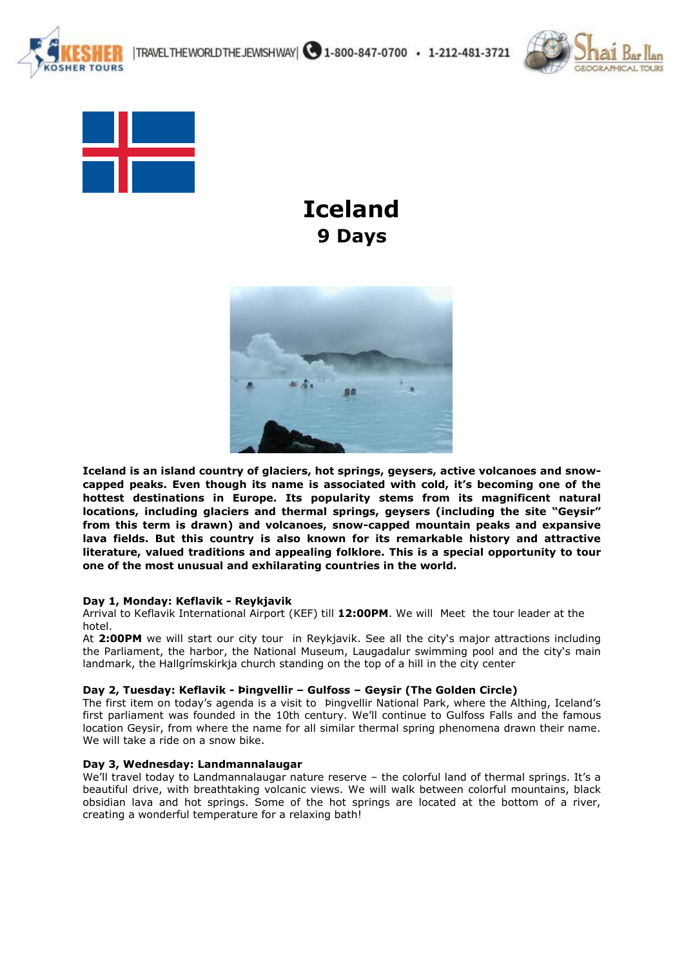



**TOURS** 

 **Iceland 9 Days** 



**Iceland is an island country of glaciers, hot springs, geysers, active volcanoes and snowcapped peaks. Even though its name is associated with cold, it's becoming one of the hottest destinations in Europe. Its popularity stems from its magnificent natural locations, including glaciers and thermal springs, geysers (including the site "Geysir" from this term is drawn) and volcanoes, snow-capped mountain peaks and expansive lava fields. But this country is also known for its remarkable history and attractive literature, valued traditions and appealing folklore. This is a special opportunity to tour one of the most unusual and exhilarating countries in the world.** 

## **Day 1, Monday: Keflavik - Reykjavik**

Arrival to Keflavik International Airport (KEF) till **12:00PM**. We will Meet the tour leader at the hotel.

At **2:00PM** we will start our city tour in Reykjavik. See all the city's major attractions including the Parliament, the harbor, the National Museum, Laugadalur swimming pool and the city's main landmark, the Hallgrímskirkja church standing on the top of a hill in the city center

## **Day 2, Tuesday: Keflavik - Þingvellir – Gulfoss – Geysir (The Golden Circle)**

The first item on today's agenda is a visit to Þingvellir National Park, where the Althing, Iceland's first parliament was founded in the 10th century. We'll continue to Gulfoss Falls and the famous location Geysir, from where the name for all similar thermal spring phenomena drawn their name. We will take a ride on a snow bike.

## **Day 3, Wednesday: Landmannalaugar**

We'll travel today to Landmannalaugar nature reserve – the colorful land of thermal springs. It's a beautiful drive, with breathtaking volcanic views. We will walk between colorful mountains, black obsidian lava and hot springs. Some of the hot springs are located at the bottom of a river, creating a wonderful temperature for a relaxing bath!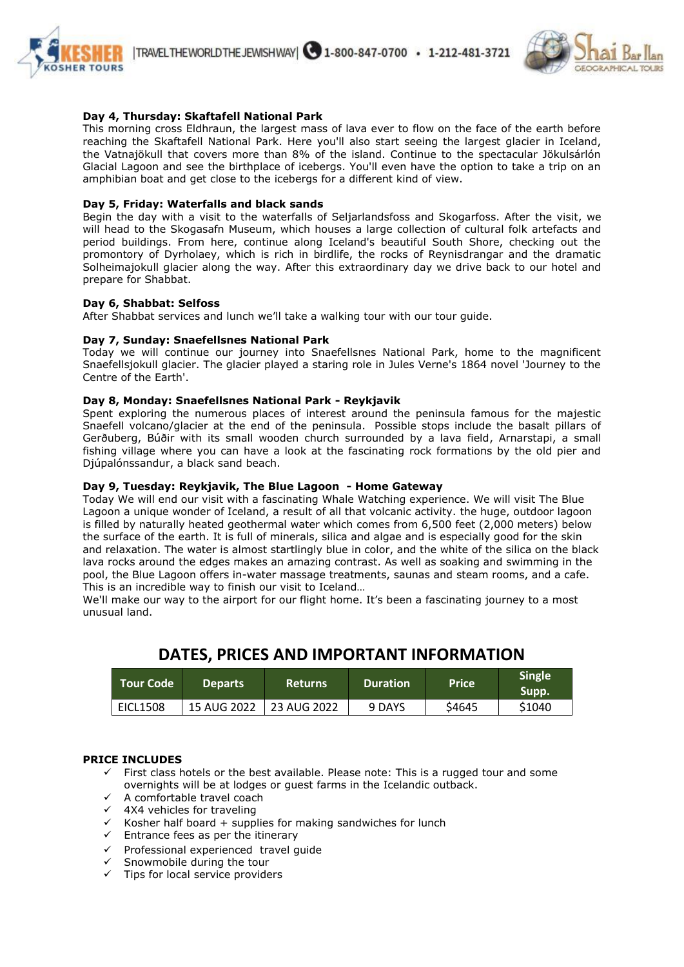



# **Day 4, Thursday: Skaftafell National Park**

This morning cross Eldhraun, the largest mass of lava ever to flow on the face of the earth before reaching the Skaftafell National Park. Here you'll also start seeing the largest glacier in Iceland, the Vatnajökull that covers more than 8% of the island. Continue to the spectacular Jökulsárlón Glacial Lagoon and see the birthplace of icebergs. You'll even have the option to take a trip on an amphibian boat and get close to the icebergs for a different kind of view.

# **Day 5, Friday: Waterfalls and black sands**

Begin the day with a visit to the waterfalls of Seljarlandsfoss and Skogarfoss. After the visit, we will head to the Skogasafn Museum, which houses a large collection of cultural folk artefacts and period buildings. From here, continue along Iceland's beautiful South Shore, checking out the promontory of Dyrholaey, which is rich in birdlife, the rocks of Reynisdrangar and the dramatic Solheimajokull glacier along the way. After this extraordinary day we drive back to our hotel and prepare for Shabbat.

#### **Day 6, Shabbat: Selfoss**

After Shabbat services and lunch we'll take a walking tour with our tour guide.

#### **Day 7, Sunday: Snaefellsnes National Park**

Today we will continue our journey into Snaefellsnes National Park, home to the magnificent Snaefellsjokull glacier. The glacier played a staring role in Jules Verne's 1864 novel 'Journey to the Centre of the Earth'.

# **Day 8, Monday: Snaefellsnes National Park - Reykjavik**

Spent exploring the numerous places of interest around the peninsula famous for the majestic Snaefell volcano/glacier at the end of the peninsula. Possible stops include the basalt pillars of Gerðuberg, Búðir with its small wooden church surrounded by a lava field, Arnarstapi, a small fishing village where you can have a look at the fascinating rock formations by the old pier and Djúpalónssandur, a black sand beach.

## **Day 9, Tuesday: Reykjavik, The Blue Lagoon - Home Gateway**

Today We will end our visit with a fascinating Whale Watching experience. We will visit The Blue Lagoon a unique wonder of Iceland, a result of all that volcanic activity. the huge, outdoor lagoon is filled by naturally heated geothermal water which comes from 6,500 feet (2,000 meters) below the surface of the earth. It is full of minerals, silica and algae and is especially good for the skin and relaxation. The water is almost startlingly blue in color, and the white of the silica on the black lava rocks around the edges makes an amazing contrast. As well as soaking and swimming in the pool, the Blue Lagoon offers in-water massage treatments, saunas and steam rooms, and a cafe. This is an incredible way to finish our visit to Iceland…

We'll make our way to the airport for our flight home. It's been a fascinating journey to a most unusual land.

# **DATES, PRICES AND IMPORTANT INFORMATION**

| LTour Code <b>\</b> | <b>Departs</b> | Returns     | <b>Duration</b> | <b>Price</b>      | <b>Single</b><br>Supp. |
|---------------------|----------------|-------------|-----------------|-------------------|------------------------|
| <b>EICL1508</b>     | 15 AUG 2022    | 23 AUG 2022 | 9 DAYS          | S <sub>4645</sub> | \$1040                 |

## **PRICE INCLUDES**

- $\checkmark$  First class hotels or the best available. Please note: This is a rugged tour and some overnights will be at lodges or guest farms in the Icelandic outback.
- $\checkmark$  A comfortable travel coach
- $\times$  4X4 vehicles for traveling
- $\checkmark$  Kosher half board + supplies for making sandwiches for lunch
- $\checkmark$  Entrance fees as per the itinerary
- $\checkmark$  Professional experienced travel guide
- Snowmobile during the tour
- $\checkmark$  Tips for local service providers